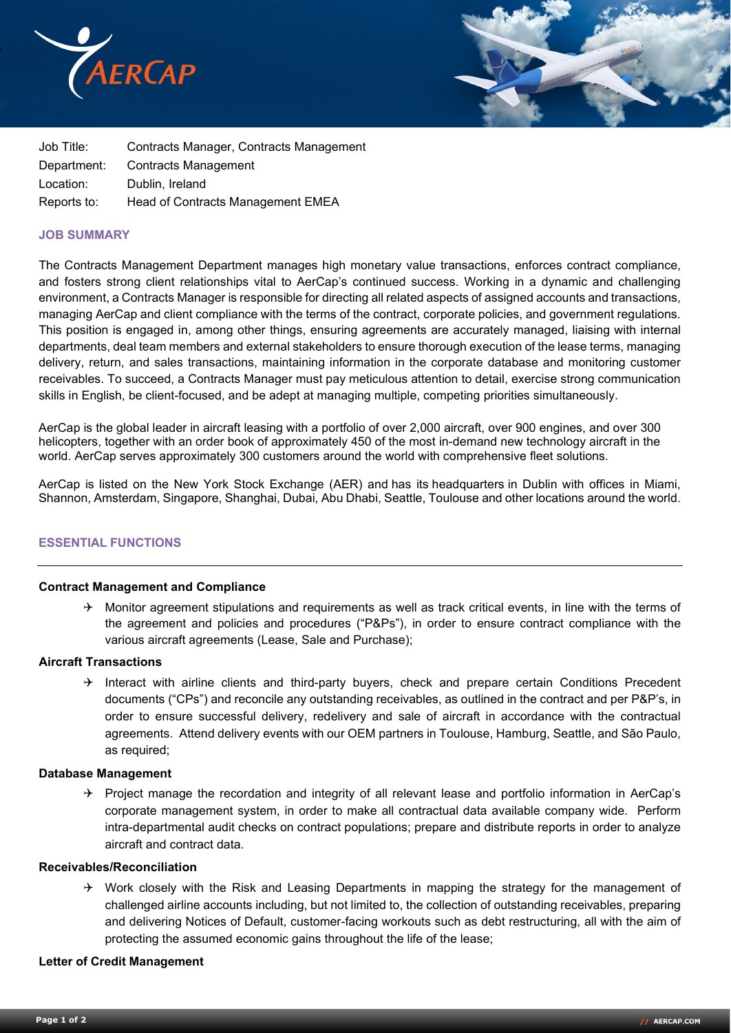



| Job Title:  | Contracts Manager, Contracts Management |
|-------------|-----------------------------------------|
| Department: | Contracts Management                    |
| Location:   | Dublin, Ireland                         |
| Reports to: | Head of Contracts Management EMEA       |

# **JOB SUMMARY**

The Contracts Management Department manages high monetary value transactions, enforces contract compliance, and fosters strong client relationships vital to AerCap's continued success. Working in a dynamic and challenging environment, a Contracts Manager is responsible for directing all related aspects of assigned accounts and transactions, managing AerCap and client compliance with the terms of the contract, corporate policies, and government regulations. This position is engaged in, among other things, ensuring agreements are accurately managed, liaising with internal departments, deal team members and external stakeholders to ensure thorough execution of the lease terms, managing delivery, return, and sales transactions, maintaining information in the corporate database and monitoring customer receivables. To succeed, a Contracts Manager must pay meticulous attention to detail, exercise strong communication skills in English, be client-focused, and be adept at managing multiple, competing priorities simultaneously.

AerCap is the global leader in aircraft leasing with a portfolio of over 2,000 aircraft, over 900 engines, and over 300 helicopters, together with an order book of approximately 450 of the most in-demand new technology aircraft in the world. AerCap serves approximately 300 customers around the world with comprehensive fleet solutions.

AerCap is listed on the New York Stock Exchange (AER) and has its headquarters in Dublin with offices in Miami, Shannon, Amsterdam, Singapore, Shanghai, Dubai, Abu Dhabi, Seattle, Toulouse and other locations around the world.

# **ESSENTIAL FUNCTIONS**

#### **Contract Management and Compliance**

 $\rightarrow$  Monitor agreement stipulations and requirements as well as track critical events, in line with the terms of the agreement and policies and procedures ("P&Ps"), in order to ensure contract compliance with the various aircraft agreements (Lease, Sale and Purchase);

#### **Aircraft Transactions**

 $\rightarrow$  Interact with airline clients and third-party buyers, check and prepare certain Conditions Precedent documents ("CPs") and reconcile any outstanding receivables, as outlined in the contract and per P&P's, in order to ensure successful delivery, redelivery and sale of aircraft in accordance with the contractual agreements. Attend delivery events with our OEM partners in Toulouse, Hamburg, Seattle, and São Paulo, as required;

# **Database Management**

 $\rightarrow$  Project manage the recordation and integrity of all relevant lease and portfolio information in AerCap's corporate management system, in order to make all contractual data available company wide. Perform intra-departmental audit checks on contract populations; prepare and distribute reports in order to analyze aircraft and contract data.

# **Receivables/Reconciliation**

 $\rightarrow$  Work closely with the Risk and Leasing Departments in mapping the strategy for the management of challenged airline accounts including, but not limited to, the collection of outstanding receivables, preparing and delivering Notices of Default, customer-facing workouts such as debt restructuring, all with the aim of protecting the assumed economic gains throughout the life of the lease;

## **Letter of Credit Management**